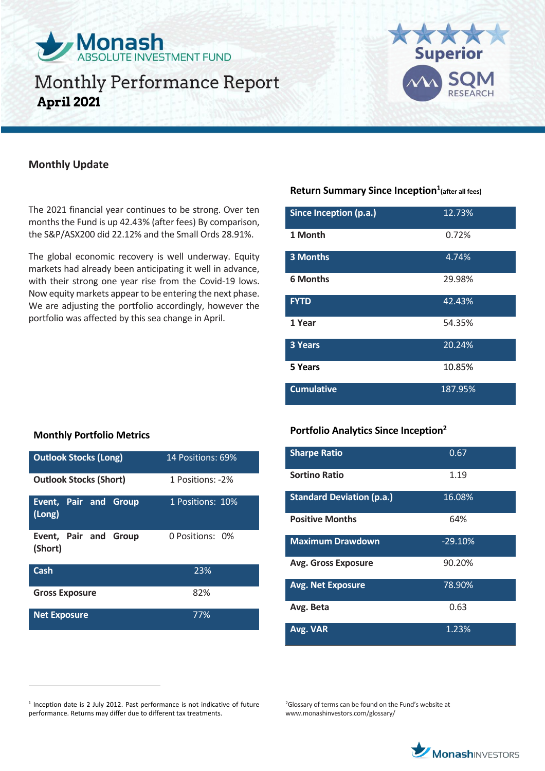



## **Monthly Update**

The 2021 financial year continues to be strong. Over ten months the Fund is up 42.43% (after fees) By comparison, the S&P/ASX200 did 22.12% and the Small Ords 28.91%.

The global economic recovery is well underway. Equity markets had already been anticipating it well in advance, with their strong one year rise from the Covid-19 lows. Now equity markets appear to be entering the next phase. We are adjusting the portfolio accordingly, however the portfolio was affected by this sea change in April.

## **Return Summary Since Inception<sup>1</sup> (after all fees)**

| Since Inception (p.a.) | 12.73%  |
|------------------------|---------|
| 1 Month                | 0.72%   |
| <b>3 Months</b>        | 4.74%   |
| <b>6 Months</b>        | 29.98%  |
| <b>FYTD</b>            | 42.43%  |
| 1 Year                 | 54.35%  |
| 3 Years                | 20.24%  |
| 5 Years                | 10.85%  |
| <b>Cumulative</b>      | 187.95% |

## **Monthly Portfolio Metrics**

 $\overline{a}$ 

| <b>Outlook Stocks (Long)</b>     | 14 Positions: 69% |
|----------------------------------|-------------------|
| <b>Outlook Stocks (Short)</b>    | 1 Positions: -2%  |
| Event, Pair and Group<br>(Long)  | 1 Positions: 10%  |
| Event, Pair and Group<br>(Short) | 0 Positions: 0%   |
| <b>Cash</b>                      | 23%               |
| <b>Gross Exposure</b>            | 82%               |
| <b>Net Exposure</b>              | 77%               |

## **Portfolio Analytics Since Inception<sup>2</sup>**

| <b>Sharpe Ratio</b>              | 0.67      |
|----------------------------------|-----------|
| Sortino Ratio                    | 1.19      |
| <b>Standard Deviation (p.a.)</b> | 16.08%    |
| <b>Positive Months</b>           | 64%       |
| <b>Maximum Drawdown</b>          | $-29.10%$ |
| <b>Avg. Gross Exposure</b>       | 90.20%    |
| <b>Avg. Net Exposure</b>         | 78.90%    |
| Avg. Beta                        | 0.63      |
| Avg. VAR                         | 1.23%     |

<sup>2</sup>Glossary of terms can be found on the Fund's website at www.monashinvestors.com/glossary/



<sup>&</sup>lt;sup>1</sup> Inception date is 2 July 2012. Past performance is not indicative of future performance. Returns may differ due to different tax treatments.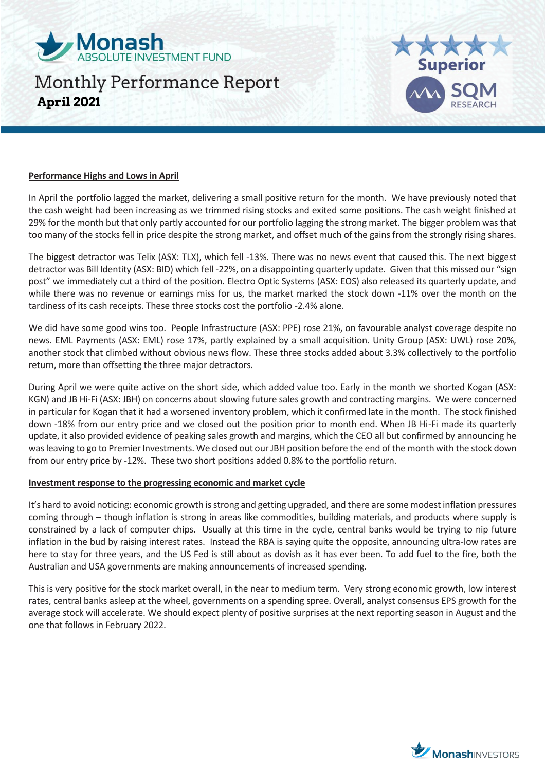



#### **Performance Highs and Lows in April**

In April the portfolio lagged the market, delivering a small positive return for the month. We have previously noted that the cash weight had been increasing as we trimmed rising stocks and exited some positions. The cash weight finished at 29% for the month but that only partly accounted for our portfolio lagging the strong market. The bigger problem was that too many of the stocks fell in price despite the strong market, and offset much of the gains from the strongly rising shares.

The biggest detractor was Telix (ASX: TLX), which fell -13%. There was no news event that caused this. The next biggest detractor was Bill Identity (ASX: BID) which fell -22%, on a disappointing quarterly update. Given that this missed our "sign post" we immediately cut a third of the position. Electro Optic Systems (ASX: EOS) also released its quarterly update, and while there was no revenue or earnings miss for us, the market marked the stock down -11% over the month on the tardiness of its cash receipts. These three stocks cost the portfolio -2.4% alone.

We did have some good wins too. People Infrastructure (ASX: PPE) rose 21%, on favourable analyst coverage despite no news. EML Payments (ASX: EML) rose 17%, partly explained by a small acquisition. Unity Group (ASX: UWL) rose 20%, another stock that climbed without obvious news flow. These three stocks added about 3.3% collectively to the portfolio return, more than offsetting the three major detractors.

During April we were quite active on the short side, which added value too. Early in the month we shorted Kogan (ASX: KGN) and JB Hi-Fi (ASX: JBH) on concerns about slowing future sales growth and contracting margins. We were concerned in particular for Kogan that it had a worsened inventory problem, which it confirmed late in the month. The stock finished down -18% from our entry price and we closed out the position prior to month end. When JB Hi-Fi made its quarterly update, it also provided evidence of peaking sales growth and margins, which the CEO all but confirmed by announcing he was leaving to go to Premier Investments. We closed out our JBH position before the end of the month with the stock down from our entry price by -12%. These two short positions added 0.8% to the portfolio return.

#### **Investment response to the progressing economic and market cycle**

It's hard to avoid noticing: economic growth is strong and getting upgraded, and there are some modest inflation pressures coming through – though inflation is strong in areas like commodities, building materials, and products where supply is constrained by a lack of computer chips. Usually at this time in the cycle, central banks would be trying to nip future inflation in the bud by raising interest rates. Instead the RBA is saying quite the opposite, announcing ultra-low rates are here to stay for three years, and the US Fed is still about as dovish as it has ever been. To add fuel to the fire, both the Australian and USA governments are making announcements of increased spending.

This is very positive for the stock market overall, in the near to medium term. Very strong economic growth, low interest rates, central banks asleep at the wheel, governments on a spending spree. Overall, analyst consensus EPS growth for the average stock will accelerate. We should expect plenty of positive surprises at the next reporting season in August and the one that follows in February 2022.

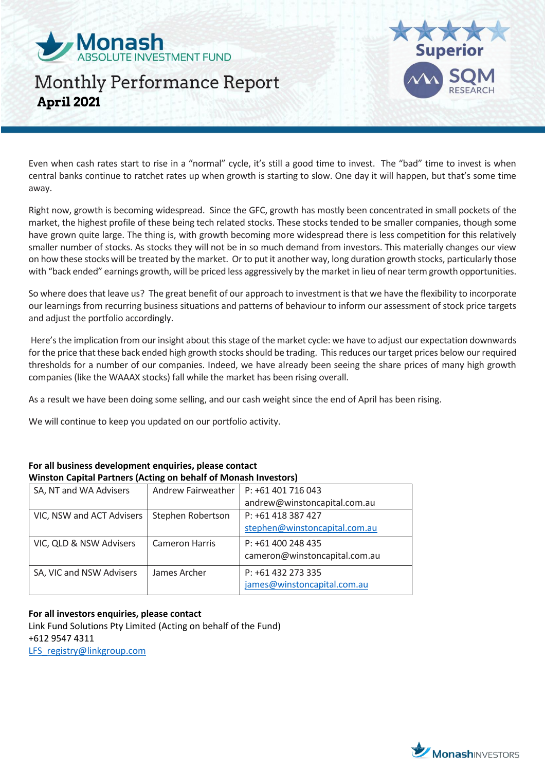



Even when cash rates start to rise in a "normal" cycle, it's still a good time to invest. The "bad" time to invest is when central banks continue to ratchet rates up when growth is starting to slow. One day it will happen, but that's some time away.

Right now, growth is becoming widespread. Since the GFC, growth has mostly been concentrated in small pockets of the market, the highest profile of these being tech related stocks. These stocks tended to be smaller companies, though some have grown quite large. The thing is, with growth becoming more widespread there is less competition for this relatively smaller number of stocks. As stocks they will not be in so much demand from investors. This materially changes our view on how these stocks will be treated by the market. Or to put it another way, long duration growth stocks, particularly those with "back ended" earnings growth, will be priced less aggressively by the market in lieu of near term growth opportunities.

So where does that leave us? The great benefit of our approach to investment is that we have the flexibility to incorporate our learnings from recurring business situations and patterns of behaviour to inform our assessment of stock price targets and adjust the portfolio accordingly.

Here's the implication from our insight about this stage of the market cycle: we have to adjust our expectation downwards for the price that these back ended high growth stocks should be trading. This reduces our target prices below our required thresholds for a number of our companies. Indeed, we have already been seeing the share prices of many high growth companies (like the WAAAX stocks) fall while the market has been rising overall.

As a result we have been doing some selling, and our cash weight since the end of April has been rising.

We will continue to keep you updated on our portfolio activity.

| Winston Capital Partners (Acting on behalf of Monash Investors) |                       |                               |
|-----------------------------------------------------------------|-----------------------|-------------------------------|
| SA, NT and WA Advisers                                          | Andrew Fairweather    | P: +61 401 716 043            |
|                                                                 |                       | andrew@winstoncapital.com.au  |
| VIC, NSW and ACT Advisers                                       | Stephen Robertson     | P: +61 418 387 427            |
|                                                                 |                       | stephen@winstoncapital.com.au |
| VIC, QLD & NSW Advisers                                         | <b>Cameron Harris</b> | $P: +61400248435$             |
|                                                                 |                       | cameron@winstoncapital.com.au |
| SA, VIC and NSW Advisers                                        | James Archer          | P: +61 432 273 335            |
|                                                                 |                       | james@winstoncapital.com.au   |

# **For all business development enquiries, please contact**

### **For all investors enquiries, please contact**

Link Fund Solutions Pty Limited (Acting on behalf of the Fund) +612 9547 4311 [LFS\\_registry@linkgroup.com](mailto:LFS_registry@linkgroup.com)